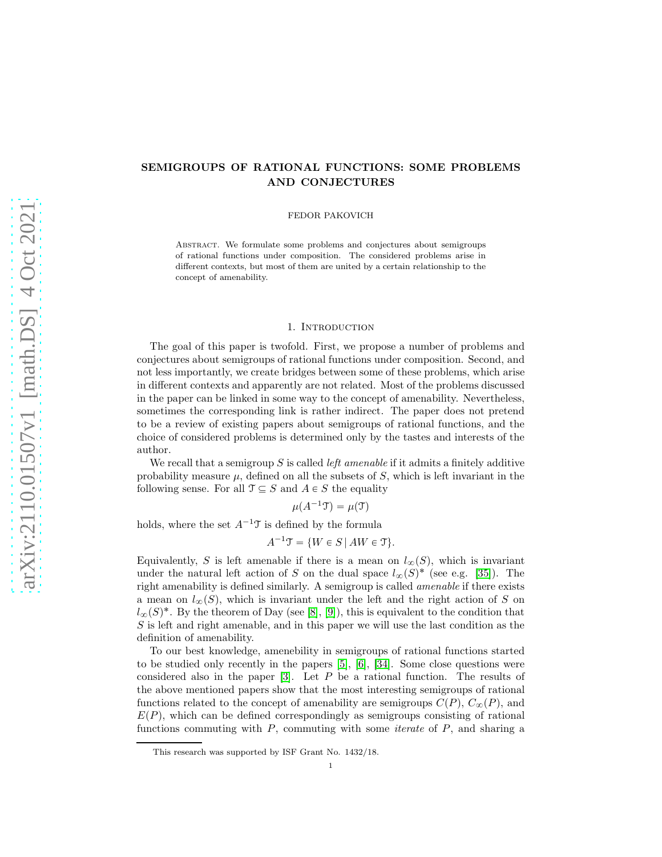# SEMIGROUPS OF RATIONAL FUNCTIONS: SOME PROBLEMS AND CONJECTURES

FEDOR PAKOVICH

Abstract. We formulate some problems and conjectures about semigroups of rational functions under composition. The considered problems arise in different contexts, but most of them are united by a certain relationship to the concept of amenability.

## 1. INTRODUCTION

The goal of this paper is twofold. First, we propose a number of problems and conjectures about semigroups of rational functions under composition. Second, and not less importantly, we create bridges between some of these problems, which arise in different contexts and apparently are not related. Most of the problems discussed in the paper can be linked in some way to the concept of amenability. Nevertheless, sometimes the corresponding link is rather indirect. The paper does not pretend to be a review of existing papers about semigroups of rational functions, and the choice of considered problems is determined only by the tastes and interests of the author.

We recall that a semigroup  $S$  is called *left amenable* if it admits a finitely additive probability measure  $\mu$ , defined on all the subsets of S, which is left invariant in the following sense. For all  $\mathfrak{T} \subseteq S$  and  $A \in S$  the equality

 $\mu(A^{-1}\mathfrak{T}) = \mu(\mathfrak{T})$ 

holds, where the set  $A^{-1}\mathcal{T}$  is defined by the formula

 $A^{-1}\mathcal{T} = \{W \in S \mid AW \in \mathcal{T}\}.$ 

Equivalently, S is left amenable if there is a mean on  $l_{\infty}(S)$ , which is invariant under the natural left action of S on the dual space  $l_{\infty}(S)^*$  (see e.g. [\[35\]](#page-11-0)). The right amenability is defined similarly. A semigroup is called amenable if there exists a mean on  $l_{\infty}(S)$ , which is invariant under the left and the right action of S on  $l_{\infty}(S)^*$ . By the theorem of Day (see [\[8\]](#page-10-0), [\[9\]](#page-10-1)), this is equivalent to the condition that S is left and right amenable, and in this paper we will use the last condition as the definition of amenability.

To our best knowledge, amenebility in semigroups of rational functions started to be studied only recently in the papers [\[5\]](#page-10-2), [\[6\]](#page-10-3), [\[34\]](#page-11-1). Some close questions were considered also in the paper  $[3]$ . Let P be a rational function. The results of the above mentioned papers show that the most interesting semigroups of rational functions related to the concept of amenability are semigroups  $C(P)$ ,  $C_{\infty}(P)$ , and  $E(P)$ , which can be defined correspondingly as semigroups consisting of rational functions commuting with  $P$ , commuting with some *iterate* of  $P$ , and sharing a

This research was supported by ISF Grant No. 1432/18.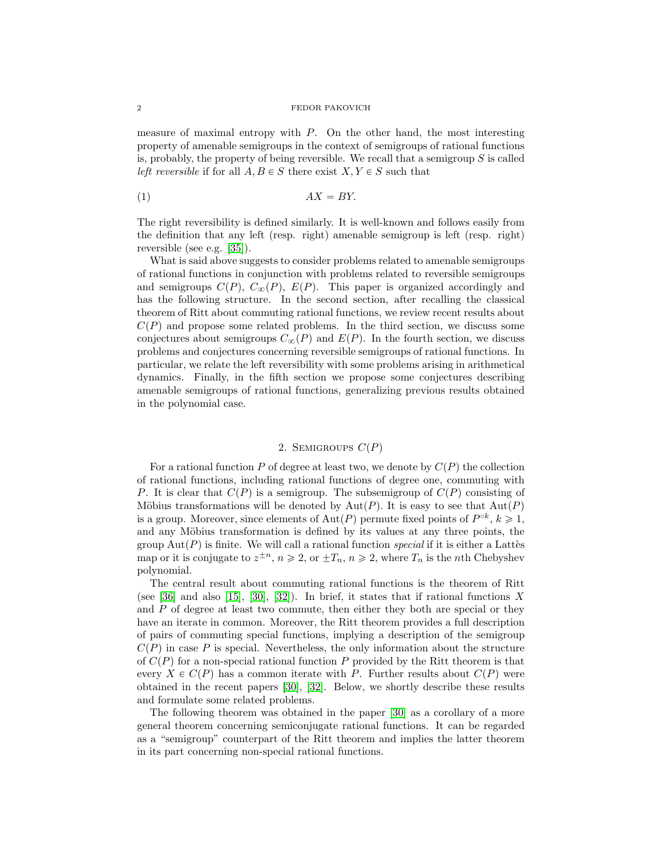measure of maximal entropy with  $P$ . On the other hand, the most interesting property of amenable semigroups in the context of semigroups of rational functions is, probably, the property of being reversible. We recall that a semigroup  $S$  is called left reversible if for all  $A, B \in S$  there exist  $X, Y \in S$  such that

<span id="page-1-0"></span>
$$
(1) \t\t AX = BY.
$$

The right reversibility is defined similarly. It is well-known and follows easily from the definition that any left (resp. right) amenable semigroup is left (resp. right) reversible (see e.g. [\[35\]](#page-11-0)).

What is said above suggests to consider problems related to amenable semigroups of rational functions in conjunction with problems related to reversible semigroups and semigroups  $C(P)$ ,  $C_{\infty}(P)$ ,  $E(P)$ . This paper is organized accordingly and has the following structure. In the second section, after recalling the classical theorem of Ritt about commuting rational functions, we review recent results about  $C(P)$  and propose some related problems. In the third section, we discuss some conjectures about semigroups  $C_{\infty}(P)$  and  $E(P)$ . In the fourth section, we discuss problems and conjectures concerning reversible semigroups of rational functions. In particular, we relate the left reversibility with some problems arising in arithmetical dynamics. Finally, in the fifth section we propose some conjectures describing amenable semigroups of rational functions, generalizing previous results obtained in the polynomial case.

## 2. SEMIGROUPS  $C(P)$

For a rational function P of degree at least two, we denote by  $C(P)$  the collection of rational functions, including rational functions of degree one, commuting with P. It is clear that  $C(P)$  is a semigroup. The subsemigroup of  $C(P)$  consisting of Möbius transformations will be denoted by  $Aut(P)$ . It is easy to see that  $Aut(P)$ is a group. Moreover, since elements of  $Aut(P)$  permute fixed points of  $P^{\circ k}$ ,  $k \geq 1$ , and any Möbius transformation is defined by its values at any three points, the group  $Aut(P)$  is finite. We will call a rational function special if it is either a Lattes map or it is conjugate to  $z^{\pm n}$ ,  $n \ge 2$ , or  $\pm T_n$ ,  $n \ge 2$ , where  $T_n$  is the *n*th Chebyshev polynomial.

The central result about commuting rational functions is the theorem of Ritt (see [\[36\]](#page-11-2) and also [\[15\]](#page-10-5), [\[30\]](#page-11-3), [\[32\]](#page-11-4)). In brief, it states that if rational functions X and  $P$  of degree at least two commute, then either they both are special or they have an iterate in common. Moreover, the Ritt theorem provides a full description of pairs of commuting special functions, implying a description of the semigroup  $C(P)$  in case P is special. Nevertheless, the only information about the structure of  $C(P)$  for a non-special rational function P provided by the Ritt theorem is that every  $X \in C(P)$  has a common iterate with P. Further results about  $C(P)$  were obtained in the recent papers [\[30\]](#page-11-3), [\[32\]](#page-11-4). Below, we shortly describe these results and formulate some related problems.

The following theorem was obtained in the paper [\[30\]](#page-11-3) as a corollary of a more general theorem concerning semiconjugate rational functions. It can be regarded as a "semigroup" counterpart of the Ritt theorem and implies the latter theorem in its part concerning non-special rational functions.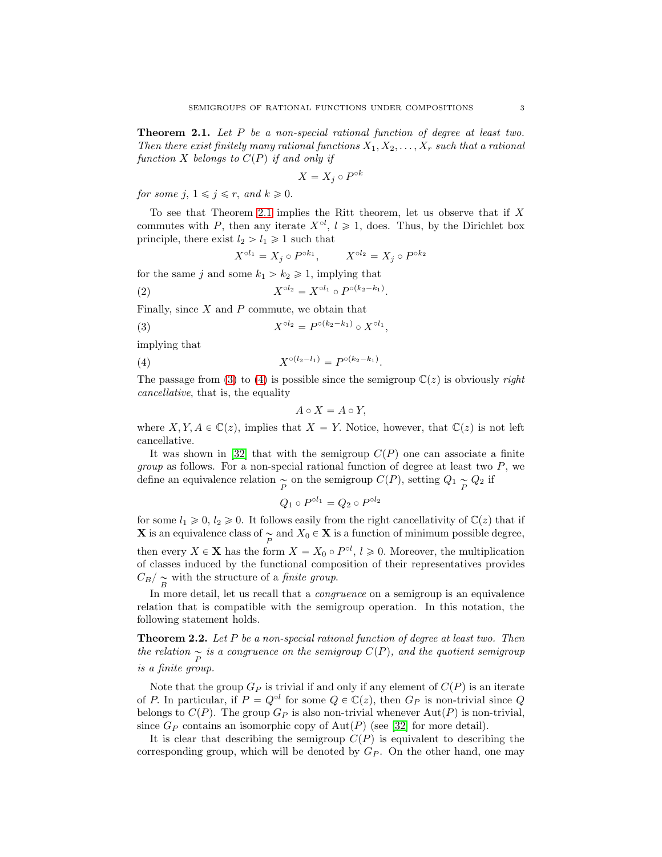<span id="page-2-0"></span>**Theorem 2.1.** Let P be a non-special rational function of degree at least two. Then there exist finitely many rational functions  $X_1, X_2, \ldots, X_r$  such that a rational function X belongs to  $C(P)$  if and only if

$$
X = X_j \circ P^{\circ k}
$$

for some j,  $1 \leq j \leq r$ , and  $k \geq 0$ .

To see that Theorem [2.1](#page-2-0) implies the Ritt theorem, let us observe that if  $X$ commutes with P, then any iterate  $X^{\circ l}$ ,  $l \geq 1$ , does. Thus, by the Dirichlet box principle, there exist  $l_2 > l_1 \geq 1$  such that

$$
X^{\circ l_1} = X_j \circ P^{\circ k_1}, \qquad X^{\circ l_2} = X_j \circ P^{\circ k_2}
$$

for the same j and some  $k_1 > k_2 \geq 1$ , implying that

<span id="page-2-3"></span>(2) 
$$
X^{\circ l_2} = X^{\circ l_1} \circ P^{\circ (k_2 - k_1)}.
$$

Finally, since  $X$  and  $P$  commute, we obtain that

<span id="page-2-1"></span>(3) 
$$
X^{\circ l_2} = P^{\circ (k_2 - k_1)} \circ X^{\circ l_1},
$$

implying that

<span id="page-2-2"></span>(4) 
$$
X^{\circ (l_2 - l_1)} = P^{\circ (k_2 - k_1)}.
$$

The passage from [\(3\)](#page-2-1) to [\(4\)](#page-2-2) is possible since the semigroup  $\mathbb{C}(z)$  is obviously *right* cancellative, that is, the equality

$$
A\circ X=A\circ Y,
$$

where  $X, Y, A \in \mathbb{C}(z)$ , implies that  $X = Y$ . Notice, however, that  $\mathbb{C}(z)$  is not left cancellative.

It was shown in [\[32\]](#page-11-4) that with the semigroup  $C(P)$  one can associate a finite *group* as follows. For a non-special rational function of degree at least two  $P$ , we define an equivalence relation  $\underset{P}{\sim}$  on the semigroup  $C(P)$ , setting  $Q_1 \underset{P}{\sim} Q_2$  if

$$
Q_1 \circ P^{\circ l_1} = Q_2 \circ P^{\circ l_2}
$$

for some  $l_1 \geq 0$ ,  $l_2 \geq 0$ . It follows easily from the right cancellativity of  $\mathbb{C}(z)$  that if **X** is an equivalence class of  $\underset{P}{\sim}$  and  $X_0 \in \mathbf{X}$  is a function of minimum possible degree, then every  $X \in \mathbf{X}$  has the form  $X = X_0 \circ P^{\circ l}$ ,  $l \geqslant 0$ . Moreover, the multiplication of classes induced by the functional composition of their representatives provides  $\binom{C_B}{B}$  with the structure of a *finite group*.

In more detail, let us recall that a congruence on a semigroup is an equivalence relation that is compatible with the semigroup operation. In this notation, the following statement holds.

**Theorem 2.2.** Let P be a non-special rational function of degree at least two. Then the relation  $\sum_{P}$  is a congruence on the semigroup  $C(P)$ , and the quotient semigroup is a finite group.

Note that the group  $G_P$  is trivial if and only if any element of  $C(P)$  is an iterate of P. In particular, if  $P = Q^{\circ l}$  for some  $Q \in \mathbb{C}(z)$ , then  $G_P$  is non-trivial since Q belongs to  $C(P)$ . The group  $G_P$  is also non-trivial whenever  $Aut(P)$  is non-trivial, since  $G_P$  contains an isomorphic copy of  $Aut(P)$  (see [\[32\]](#page-11-4) for more detail).

It is clear that describing the semigroup  $C(P)$  is equivalent to describing the corresponding group, which will be denoted by  $G_P$ . On the other hand, one may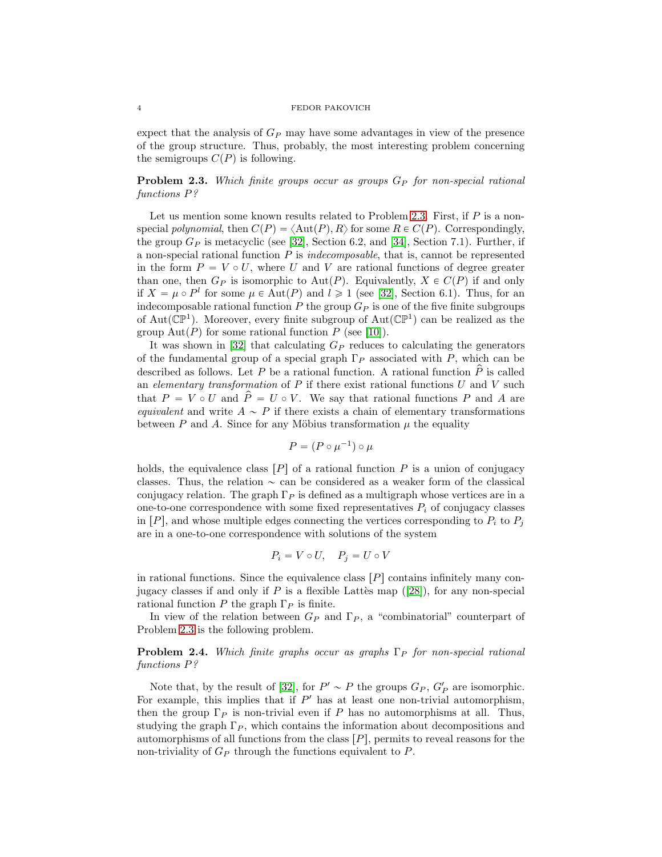expect that the analysis of  $G_P$  may have some advantages in view of the presence of the group structure. Thus, probably, the most interesting problem concerning the semigroups  $C(P)$  is following.

<span id="page-3-0"></span>**Problem 2.3.** Which finite groups occur as groups  $G_P$  for non-special rational functions P?

Let us mention some known results related to Problem [2.3.](#page-3-0) First, if  $P$  is a nonspecial polynomial, then  $C(P) = \langle \text{Aut}(P), R \rangle$  for some  $R \in C(P)$ . Correspondingly, the group  $G_P$  is metacyclic (see [\[32\]](#page-11-4), Section 6.2, and [\[34\]](#page-11-1), Section 7.1). Further, if a non-special rational function  $P$  is *indecomposable*, that is, cannot be represented in the form  $P = V \circ U$ , where U and V are rational functions of degree greater than one, then  $G_P$  is isomorphic to Aut $(P)$ . Equivalently,  $X \in C(P)$  if and only if  $X = \mu \circ P^l$  for some  $\mu \in \text{Aut}(P)$  and  $l \geq 1$  (see [\[32\]](#page-11-4), Section 6.1). Thus, for an indecomposable rational function  $P$  the group  $G_P$  is one of the five finite subgroups of Aut( $\mathbb{CP}^1$ ). Moreover, every finite subgroup of Aut( $\mathbb{CP}^1$ ) can be realized as the group  $\text{Aut}(P)$  for some rational function P (see [\[10\]](#page-10-6)).

It was shown in [\[32\]](#page-11-4) that calculating  $G_P$  reduces to calculating the generators of the fundamental group of a special graph  $\Gamma_P$  associated with P, which can be described as follows. Let P be a rational function. A rational function  $\hat{P}$  is called an elementary transformation of  $P$  if there exist rational functions  $U$  and  $V$  such that  $P = V \circ U$  and  $\hat{P} = U \circ V$ . We say that rational functions P and A are equivalent and write  $A \sim P$  if there exists a chain of elementary transformations between P and A. Since for any Möbius transformation  $\mu$  the equality

$$
P = (P \circ \mu^{-1}) \circ \mu
$$

holds, the equivalence class  $[P]$  of a rational function P is a union of conjugacy classes. Thus, the relation  $\sim$  can be considered as a weaker form of the classical conjugacy relation. The graph  $\Gamma_P$  is defined as a multigraph whose vertices are in a one-to-one correspondence with some fixed representatives  $P_i$  of conjugacy classes in  $[P]$ , and whose multiple edges connecting the vertices corresponding to  $P_i$  to  $P_j$ are in a one-to-one correspondence with solutions of the system

$$
P_i = V \circ U, \quad P_j = U \circ V
$$

in rational functions. Since the equivalence class  $[P]$  contains infinitely many conjugacyclasses if and only if P is a flexible Latter map  $([28])$  $([28])$  $([28])$ , for any non-special rational function P the graph  $\Gamma_P$  is finite.

In view of the relation between  $G_P$  and  $\Gamma_P$ , a "combinatorial" counterpart of Problem [2.3](#page-3-0) is the following problem.

**Problem 2.4.** Which finite graphs occur as graphs  $\Gamma_P$  for non-special rational functions P?

Note that, by the result of [\[32\]](#page-11-4), for  $P' \sim P$  the groups  $G_P$ ,  $G'_P$  are isomorphic. For example, this implies that if  $P'$  has at least one non-trivial automorphism, then the group  $\Gamma_P$  is non-trivial even if P has no automorphisms at all. Thus, studying the graph  $\Gamma_P$ , which contains the information about decompositions and automorphisms of all functions from the class  $|P|$ , permits to reveal reasons for the non-triviality of  $G_P$  through the functions equivalent to  $P$ .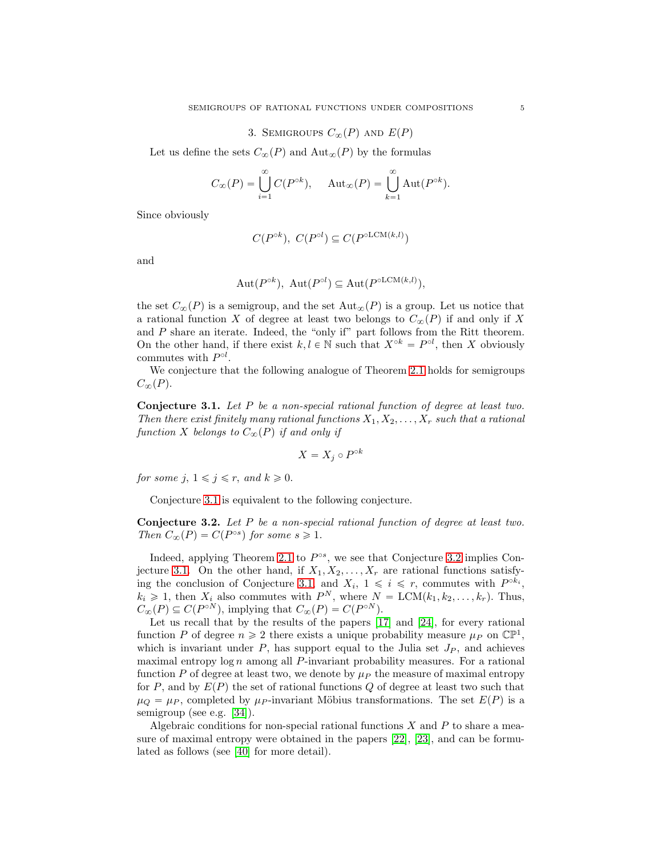## 3. SEMIGROUPS  $C_{\infty}(P)$  AND  $E(P)$

Let us define the sets  $C_{\infty}(P)$  and  $\text{Aut}_{\infty}(P)$  by the formulas

$$
C_{\infty}(P) = \bigcup_{i=1}^{\infty} C(P^{\circ k}), \quad \text{Aut}_{\infty}(P) = \bigcup_{k=1}^{\infty} \text{Aut}(P^{\circ k}).
$$

Since obviously

$$
C(P^{\circ k}),\ C(P^{\circ l})\subseteq C(P^{\circ {\rm LCM}(k,l)})
$$

and

$$
Aut(P^{\circ k}), Aut(P^{\circ l}) \subseteq Aut(P^{\circ LCM(k,l)}),
$$

the set  $C_{\infty}(P)$  is a semigroup, and the set  $\text{Aut}_{\infty}(P)$  is a group. Let us notice that a rational function X of degree at least two belongs to  $C_{\infty}(P)$  if and only if X and  $P$  share an iterate. Indeed, the "only if" part follows from the Ritt theorem. On the other hand, if there exist  $k, l \in \mathbb{N}$  such that  $X^{\circ k} = P^{\circ l}$ , then X obviously commutes with  $P^{\circ l}$ .

We conjecture that the following analogue of Theorem [2.1](#page-2-0) holds for semigroups  $C_{\infty}(P)$ .

<span id="page-4-0"></span>Conjecture 3.1. Let P be a non-special rational function of degree at least two. Then there exist finitely many rational functions  $X_1, X_2, \ldots, X_r$  such that a rational function X belongs to  $C_{\infty}(P)$  if and only if

$$
X = X_j \circ P^{\circ k}
$$

for some j,  $1 \leq j \leq r$ , and  $k \geq 0$ .

Conjecture [3.1](#page-4-0) is equivalent to the following conjecture.

<span id="page-4-1"></span>Conjecture 3.2. Let P be a non-special rational function of degree at least two. Then  $C_{\infty}(P) = C(P^{\circ s})$  for some  $s \geq 1$ .

Indeed, applying Theorem [2.1](#page-2-0) to  $P^{\circ s}$ , we see that Conjecture [3.2](#page-4-1) implies Con-jecture [3.1.](#page-4-0) On the other hand, if  $X_1, X_2, \ldots, X_r$  are rational functions satisfy-ing the conclusion of Conjecture [3.1,](#page-4-0) and  $X_i$ ,  $1 \leq i \leq r$ , commutes with  $P^{\circ k_i}$ ,  $k_i \geq 1$ , then  $X_i$  also commutes with  $P^N$ , where  $N = \text{LCM}(k_1, k_2, \ldots, k_r)$ . Thus,  $C_{\infty}(P) \subseteq C(P^{\circ N})$ , implying that  $C_{\infty}(P) = C(P^{\circ N})$ .

Let us recall that by the results of the papers [\[17\]](#page-10-7) and [\[24\]](#page-11-6), for every rational function P of degree  $n \geq 2$  there exists a unique probability measure  $\mu_P$  on  $\mathbb{CP}^1$ , which is invariant under  $P$ , has support equal to the Julia set  $J_P$ , and achieves maximal entropy  $\log n$  among all P-invariant probability measures. For a rational function P of degree at least two, we denote by  $\mu_P$  the measure of maximal entropy for P, and by  $E(P)$  the set of rational functions Q of degree at least two such that  $\mu_Q = \mu_P$ , completed by  $\mu_P$ -invariant Möbius transformations. The set  $E(P)$  is a semigroup (see e.g. [\[34\]](#page-11-1)).

Algebraic conditions for non-special rational functions  $X$  and  $P$  to share a measure of maximal entropy were obtained in the papers [\[22\]](#page-11-7), [\[23\]](#page-11-8), and can be formulated as follows (see [\[40\]](#page-11-9) for more detail).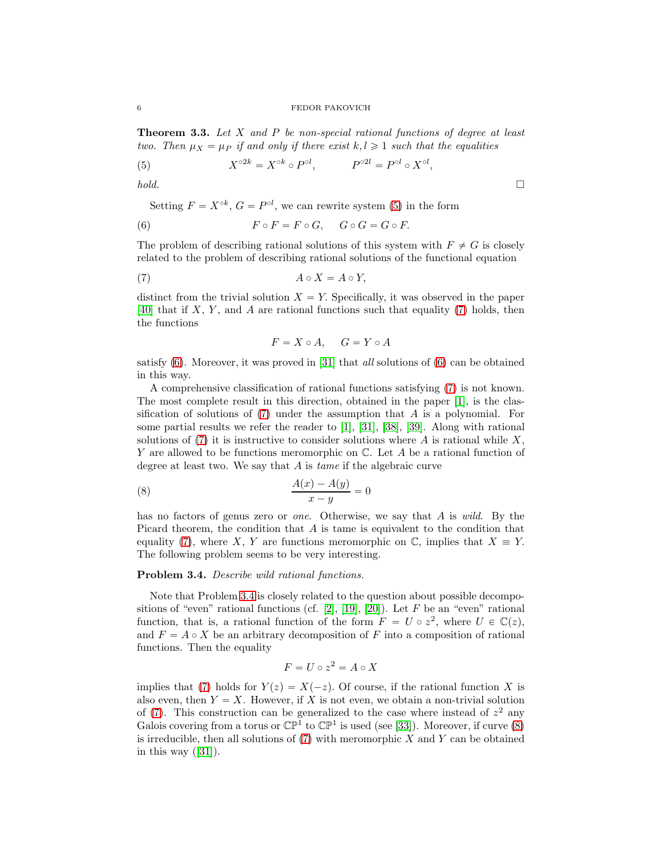<span id="page-5-5"></span>**Theorem 3.3.** Let  $X$  and  $P$  be non-special rational functions of degree at least two. Then  $\mu_X = \mu_P$  if and only if there exist  $k, l \geq 1$  such that the equalities

<span id="page-5-0"></span>(5) 
$$
X^{\circ 2k} = X^{\circ k} \circ P^{\circ l}, \qquad P^{\circ 2l} = P^{\circ l} \circ X^{\circ l},
$$

 $hold.$ 

Setting  $F = X^{\circ k}$ ,  $G = P^{\circ l}$ , we can rewrite system [\(5\)](#page-5-0) in the form

<span id="page-5-2"></span>(6) 
$$
F \circ F = F \circ G, \quad G \circ G = G \circ F.
$$

The problem of describing rational solutions of this system with  $F \neq G$  is closely related to the problem of describing rational solutions of the functional equation

<span id="page-5-1"></span>
$$
(7) \t\t\t A \circ X = A \circ Y,
$$

distinct from the trivial solution  $X = Y$ . Specifically, it was observed in the paper [\[40\]](#page-11-9) that if  $X, Y$ , and  $\overline{A}$  are rational functions such that equality [\(7\)](#page-5-1) holds, then the functions

$$
F = X \circ A, \quad G = Y \circ A
$$

satisfy  $(6)$ . Moreover, it was proved in [\[31\]](#page-11-10) that *all* solutions of  $(6)$  can be obtained in this way.

A comprehensive classification of rational functions satisfying [\(7\)](#page-5-1) is not known. The most complete result in this direction, obtained in the paper [\[1\]](#page-10-8), is the classification of solutions of  $(7)$  under the assumption that A is a polynomial. For some partial results we refer the reader to [\[1\]](#page-10-8), [\[31\]](#page-11-10), [\[38\]](#page-11-11), [\[39\]](#page-11-12). Along with rational solutions of  $(7)$  it is instructive to consider solutions where A is rational while X, Y are allowed to be functions meromorphic on C. Let A be a rational function of degree at least two. We say that A is tame if the algebraic curve

<span id="page-5-4"></span>(8) 
$$
\frac{A(x) - A(y)}{x - y} = 0
$$

has no factors of genus zero or *one*. Otherwise, we say that A is wild. By the Picard theorem, the condition that A is tame is equivalent to the condition that equality [\(7\)](#page-5-1), where X, Y are functions meromorphic on  $\mathbb{C}$ , implies that  $X \equiv Y$ . The following problem seems to be very interesting.

#### <span id="page-5-3"></span>Problem 3.4. Describe wild rational functions.

Note that Problem [3.4](#page-5-3) is closely related to the question about possible decompo-sitions of "even" rational functions (cf. [\[2\]](#page-10-9), [\[19\]](#page-10-10), [\[20\]](#page-10-11)). Let F be an "even" rational function, that is, a rational function of the form  $F = U \circ z^2$ , where  $U \in \mathbb{C}(z)$ , and  $F = A \circ X$  be an arbitrary decomposition of F into a composition of rational functions. Then the equality

$$
F = U \circ z^2 = A \circ X
$$

implies that [\(7\)](#page-5-1) holds for  $Y(z) = X(-z)$ . Of course, if the rational function X is also even, then  $Y = X$ . However, if X is not even, we obtain a non-trivial solution of  $(7)$ . This construction can be generalized to the case where instead of  $z<sup>2</sup>$  any Galois covering from a torus or  $\mathbb{CP}^1$  to  $\mathbb{CP}^1$  is used (see [\[33\]](#page-11-13)). Moreover, if curve [\(8\)](#page-5-4) is irreducible, then all solutions of  $(7)$  with meromorphic X and Y can be obtained inthis way  $([31])$  $([31])$  $([31])$ .

$$
f_{\rm{max}}
$$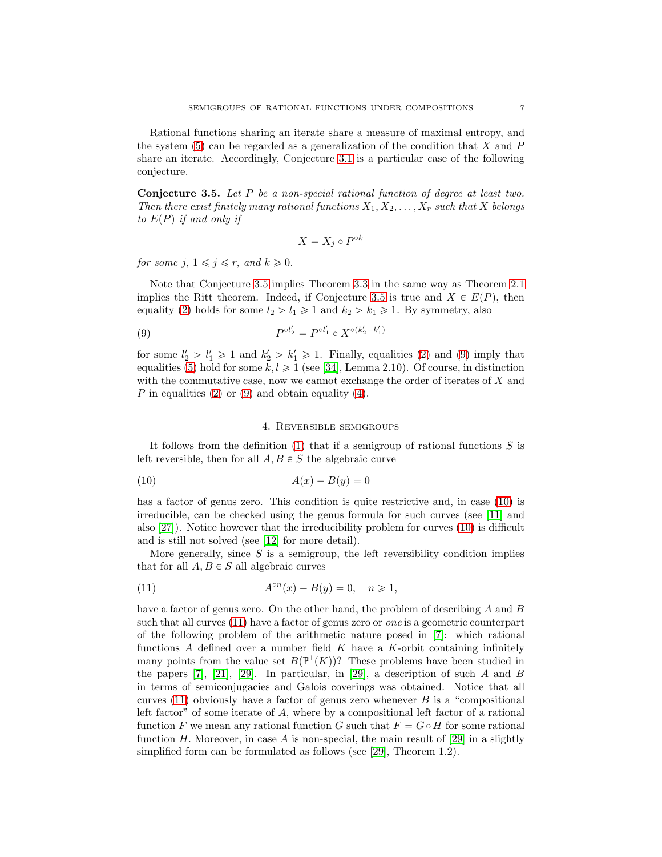Rational functions sharing an iterate share a measure of maximal entropy, and the system  $(5)$  can be regarded as a generalization of the condition that X and P share an iterate. Accordingly, Conjecture [3.1](#page-4-0) is a particular case of the following conjecture.

<span id="page-6-0"></span>Conjecture 3.5. Let P be a non-special rational function of degree at least two. Then there exist finitely many rational functions  $X_1, X_2, \ldots, X_r$  such that X belongs to  $E(P)$  if and only if

$$
X = X_j \circ P^{\circ k}
$$

for some j,  $1 \leq j \leq r$ , and  $k \geq 0$ .

Note that Conjecture [3.5](#page-6-0) implies Theorem [3.3](#page-5-5) in the same way as Theorem [2.1](#page-2-0) implies the Ritt theorem. Indeed, if Conjecture [3.5](#page-6-0) is true and  $X \in E(P)$ , then equality [\(2\)](#page-2-3) holds for some  $l_2 > l_1 \geq 1$  and  $k_2 > k_1 \geq 1$ . By symmetry, also

<span id="page-6-1"></span>(9) 
$$
P^{\circ l_2'} = P^{\circ l_1'} \circ X^{\circ (k_2' - k_1')}
$$

for some  $l'_2 > l'_1 \geq 1$  and  $k'_2 > k'_1 \geq 1$ . Finally, equalities [\(2\)](#page-2-3) and [\(9\)](#page-6-1) imply that equalities [\(5\)](#page-5-0) hold for some  $k, l \geq 1$  (see [\[34\]](#page-11-1), Lemma 2.10). Of course, in distinction with the commutative case, now we cannot exchange the order of iterates of  $X$  and P in equalities  $(2)$  or  $(9)$  and obtain equality  $(4)$ .

## 4. Reversible semigroups

It follows from the definition  $(1)$  that if a semigroup of rational functions S is left reversible, then for all  $A, B \in S$  the algebraic curve

<span id="page-6-2"></span>
$$
(10)\qquad \qquad A(x) - B(y) = 0
$$

has a factor of genus zero. This condition is quite restrictive and, in case [\(10\)](#page-6-2) is irreducible, can be checked using the genus formula for such curves (see [\[11\]](#page-10-12) and also [\[27\]](#page-11-14)). Notice however that the irreducibility problem for curves [\(10\)](#page-6-2) is difficult and is still not solved (see [\[12\]](#page-10-13) for more detail).

More generally, since  $S$  is a semigroup, the left reversibility condition implies that for all  $A, B \in S$  all algebraic curves

<span id="page-6-3"></span>(11) 
$$
A^{\circ n}(x) - B(y) = 0, \quad n \ge 1,
$$

have a factor of genus zero. On the other hand, the problem of describing A and B such that all curves [\(11\)](#page-6-3) have a factor of genus zero or one is a geometric counterpart of the following problem of the arithmetic nature posed in [\[7\]](#page-10-14): which rational functions  $A$  defined over a number field  $K$  have a  $K$ -orbit containing infinitely many points from the value set  $B(\mathbb{P}^1(K))$ ? These problems have been studied in the papers [\[7\]](#page-10-14), [\[21\]](#page-11-15), [\[29\]](#page-11-16). In particular, in [29], a description of such A and B in terms of semiconjugacies and Galois coverings was obtained. Notice that all curves  $(11)$  obviously have a factor of genus zero whenever B is a "compositional" left factor" of some iterate of A, where by a compositional left factor of a rational function F we mean any rational function G such that  $F = G \circ H$  for some rational function H. Moreover, in case A is non-special, the main result of [\[29\]](#page-11-16) in a slightly simplified form can be formulated as follows (see [\[29\]](#page-11-16), Theorem 1.2).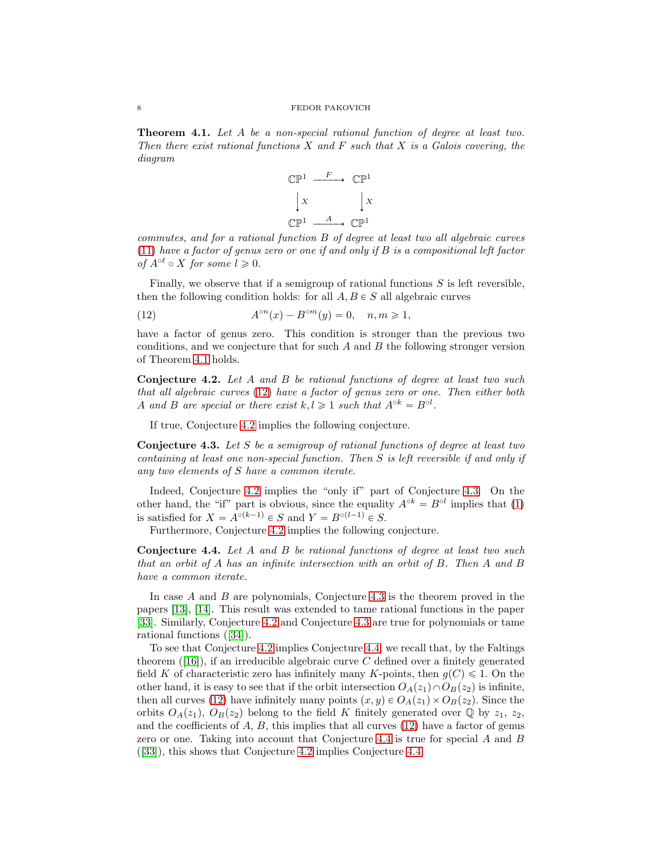<span id="page-7-0"></span>Theorem 4.1. Let A be a non-special rational function of degree at least two. Then there exist rational functions  $X$  and  $F$  such that  $X$  is a Galois covering, the diagram



commutes, and for a rational function B of degree at least two all algebraic curves  $(11)$  have a factor of genus zero or one if and only if B is a compositional left factor of  $A^{\circ \ell} \circ X$  for some  $l \geqslant 0$ .

Finally, we observe that if a semigroup of rational functions  $S$  is left reversible, then the following condition holds: for all  $A, B \in S$  all algebraic curves

<span id="page-7-1"></span>(12) 
$$
A^{\circ n}(x) - B^{\circ m}(y) = 0, \quad n, m \ge 1,
$$

have a factor of genus zero. This condition is stronger than the previous two conditions, and we conjecture that for such  $A$  and  $B$  the following stronger version of Theorem [4.1](#page-7-0) holds.

<span id="page-7-2"></span>Conjecture 4.2. Let A and B be rational functions of degree at least two such that all algebraic curves [\(12\)](#page-7-1) have a factor of genus zero or one. Then either both A and B are special or there exist  $k, l \geq 1$  such that  $A^{\circ k} = B^{\circ l}$ .

If true, Conjecture [4.2](#page-7-2) implies the following conjecture.

<span id="page-7-3"></span>Conjecture 4.3. Let S be a semigroup of rational functions of degree at least two containing at least one non-special function. Then S is left reversible if and only if any two elements of S have a common iterate.

Indeed, Conjecture [4.2](#page-7-2) implies the "only if" part of Conjecture [4.3.](#page-7-3) On the other hand, the "if" part is obvious, since the equality  $A^{\circ k} = B^{\circ l}$  implies that [\(1\)](#page-1-0) is satisfied for  $X = A^{\circ(k-1)} \in S$  and  $Y = B^{\circ(l-1)} \in S$ .

Furthermore, Conjecture [4.2](#page-7-2) implies the following conjecture.

<span id="page-7-4"></span>Conjecture 4.4. Let A and B be rational functions of degree at least two such that an orbit of A has an infinite intersection with an orbit of B. Then A and B have a common iterate.

In case A and B are polynomials, Conjecture [4.3](#page-7-3) is the theorem proved in the papers [\[13\]](#page-10-15), [\[14\]](#page-10-16). This result was extended to tame rational functions in the paper [\[33\]](#page-11-13). Similarly, Conjecture [4.2](#page-7-2) and Conjecture [4.3](#page-7-3) are true for polynomials or tame rational functions([\[34\]](#page-11-1)).

To see that Conjecture [4.2](#page-7-2) implies Conjecture [4.4,](#page-7-4) we recall that, by the Faltings theorem $([16])$  $([16])$  $([16])$ , if an irreducible algebraic curve C defined over a finitely generated field K of characteristic zero has infinitely many K-points, then  $q(C) \leq 1$ . On the other hand, it is easy to see that if the orbit intersection  $O_A(z_1) \cap O_B(z_2)$  is infinite, then all curves [\(12\)](#page-7-1) have infinitely many points  $(x, y) \in O<sub>A</sub>(z<sub>1</sub>) \times O<sub>B</sub>(z<sub>2</sub>)$ . Since the orbits  $O_A(z_1), O_B(z_2)$  belong to the field K finitely generated over Q by  $z_1, z_2$ , and the coefficients of  $A, B$ , this implies that all curves  $(12)$  have a factor of genus zero or one. Taking into account that Conjecture [4.4](#page-7-4) is true for special A and B ([\[33\]](#page-11-13)), this shows that Conjecture [4.2](#page-7-2) implies Conjecture [4.4.](#page-7-4)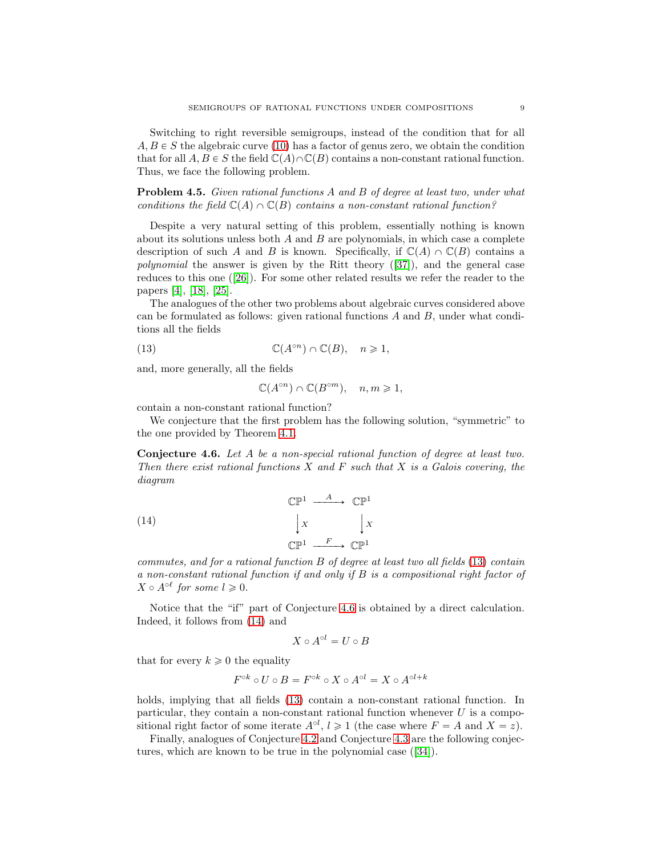Switching to right reversible semigroups, instead of the condition that for all  $A, B \in S$  the algebraic curve [\(10\)](#page-6-2) has a factor of genus zero, we obtain the condition that for all  $A, B \in S$  the field  $\mathbb{C}(A) \cap \mathbb{C}(B)$  contains a non-constant rational function. Thus, we face the following problem.

Problem 4.5. Given rational functions A and B of degree at least two, under what conditions the field  $\mathbb{C}(A) \cap \mathbb{C}(B)$  contains a non-constant rational function?

Despite a very natural setting of this problem, essentially nothing is known about its solutions unless both  $A$  and  $B$  are polynomials, in which case a complete description of such A and B is known. Specifically, if  $\mathbb{C}(A) \cap \mathbb{C}(B)$  contains a polynomial the answer is given by the Ritt theory([\[37\]](#page-11-17)), and the general case reduces to this one([\[26\]](#page-11-18)). For some other related results we refer the reader to the papers [\[4\]](#page-10-18), [\[18\]](#page-10-19), [\[25\]](#page-11-19).

The analogues of the other two problems about algebraic curves considered above can be formulated as follows: given rational functions  $A$  and  $B$ , under what conditions all the fields

<span id="page-8-0"></span>(13) 
$$
\mathbb{C}(A^{\circ n}) \cap \mathbb{C}(B), \quad n \geq 1,
$$

and, more generally, all the fields

$$
\mathbb{C}(A^{\circ n}) \cap \mathbb{C}(B^{\circ m}), \quad n, m \geq 1,
$$

contain a non-constant rational function?

We conjecture that the first problem has the following solution, "symmetric" to the one provided by Theorem [4.1.](#page-7-0)

<span id="page-8-1"></span>Conjecture 4.6. Let A be a non-special rational function of degree at least two. Then there exist rational functions  $X$  and  $F$  such that  $X$  is a Galois covering, the diagram

<span id="page-8-2"></span>(14) 
$$
\begin{array}{ccc}\n\mathbb{CP}^1 & \xrightarrow{A} & \mathbb{CP}^1 \\
\downarrow x & & \downarrow x \\
\mathbb{CP}^1 & \xrightarrow{F} & \mathbb{CP}^1\n\end{array}
$$

commutes, and for a rational function B of degree at least two all fields [\(13\)](#page-8-0) contain a non-constant rational function if and only if B is a compositional right factor of  $X \circ A^{\circ \ell}$  for some  $l \geqslant 0$ .

Notice that the "if" part of Conjecture [4.6](#page-8-1) is obtained by a direct calculation. Indeed, it follows from [\(14\)](#page-8-2) and

$$
X \circ A^{\circ l} = U \circ B
$$

that for every  $k \geqslant 0$  the equality

$$
F^{\circ k} \circ U \circ B = F^{\circ k} \circ X \circ A^{\circ l} = X \circ A^{\circ l + k}
$$

holds, implying that all fields [\(13\)](#page-8-0) contain a non-constant rational function. In particular, they contain a non-constant rational function whenever  $U$  is a compositional right factor of some iterate  $A^{\circ l}$ ,  $l \geq 1$  (the case where  $F = A$  and  $X = z$ ).

Finally, analogues of Conjecture [4.2](#page-7-2) and Conjecture [4.3](#page-7-3) are the following conjectures, which are known to be true in the polynomial case([\[34\]](#page-11-1)).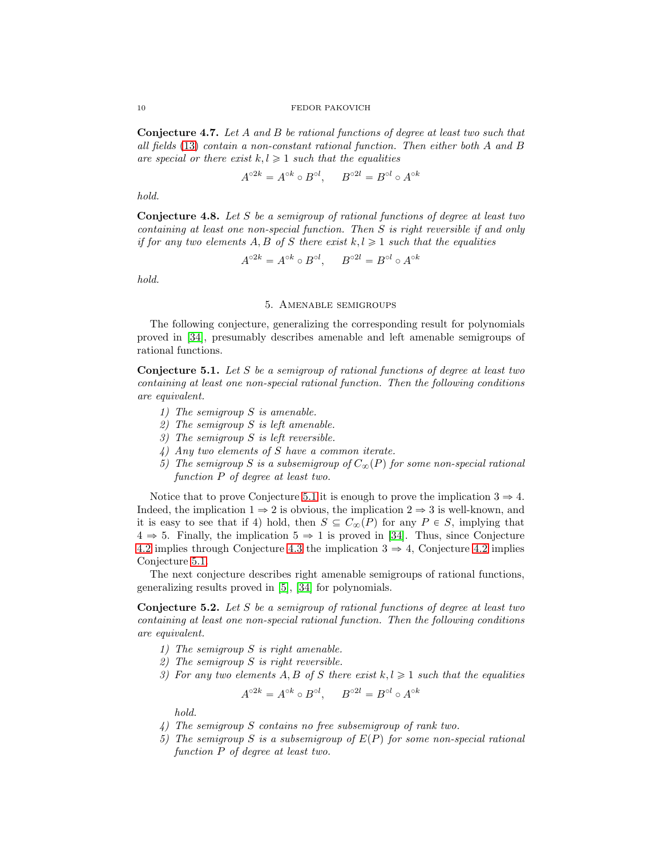Conjecture 4.7. Let A and B be rational functions of degree at least two such that all fields [\(13\)](#page-8-0) contain a non-constant rational function. Then either both A and B are special or there exist  $k, l \geq 1$  such that the equalities

$$
A^{\circ 2k} = A^{\circ k} \circ B^{\circ l}, \qquad B^{\circ 2l} = B^{\circ l} \circ A^{\circ k}
$$

hold.

Conjecture 4.8. Let S be a semigroup of rational functions of degree at least two containing at least one non-special function. Then S is right reversible if and only if for any two elements A, B of S there exist  $k, l \geq 1$  such that the equalities

$$
A^{\circ 2k} = A^{\circ k} \circ B^{\circ l}, \qquad B^{\circ 2l} = B^{\circ l} \circ A^{\circ k}
$$

hold.

## 5. Amenable semigroups

The following conjecture, generalizing the corresponding result for polynomials proved in [\[34\]](#page-11-1), presumably describes amenable and left amenable semigroups of rational functions.

<span id="page-9-0"></span>**Conjecture 5.1.** Let S be a semigroup of rational functions of degree at least two containing at least one non-special rational function. Then the following conditions are equivalent.

- 1) The semigroup S is amenable.
- 2) The semigroup S is left amenable.
- 3) The semigroup S is left reversible.
- 4) Any two elements of S have a common iterate.
- 5) The semigroup S is a subsemigroup of  $C_{\infty}(P)$  for some non-special rational function P of degree at least two.

Notice that to prove Conjecture [5.1](#page-9-0) it is enough to prove the implication  $3 \Rightarrow 4$ . Indeed, the implication  $1 \Rightarrow 2$  is obvious, the implication  $2 \Rightarrow 3$  is well-known, and it is easy to see that if 4) hold, then  $S \subseteq C_{\infty}(P)$  for any  $P \in S$ , implying that  $4 \Rightarrow 5$ . Finally, the implication  $5 \Rightarrow 1$  is proved in [\[34\]](#page-11-1). Thus, since Conjecture [4.2](#page-7-2) implies through Conjecture [4.3](#page-7-3) the implication  $3 \Rightarrow 4$ , Conjecture [4.2](#page-7-2) implies Conjecture [5.1.](#page-9-0)

The next conjecture describes right amenable semigroups of rational functions, generalizing results proved in [\[5\]](#page-10-2), [\[34\]](#page-11-1) for polynomials.

<span id="page-9-1"></span>**Conjecture 5.2.** Let S be a semigroup of rational functions of degree at least two containing at least one non-special rational function. Then the following conditions are equivalent.

- 1) The semigroup S is right amenable.
- 2) The semigroup S is right reversible.
- 3) For any two elements A, B of S there exist  $k, l \geq 1$  such that the equalities

$$
A^{\circ 2k} = A^{\circ k} \circ B^{\circ l}, \qquad B^{\circ 2l} = B^{\circ l} \circ A^{\circ k}
$$

hold.

- 4) The semigroup S contains no free subsemigroup of rank two.
- 5) The semigroup S is a subsemigroup of  $E(P)$  for some non-special rational function P of degree at least two.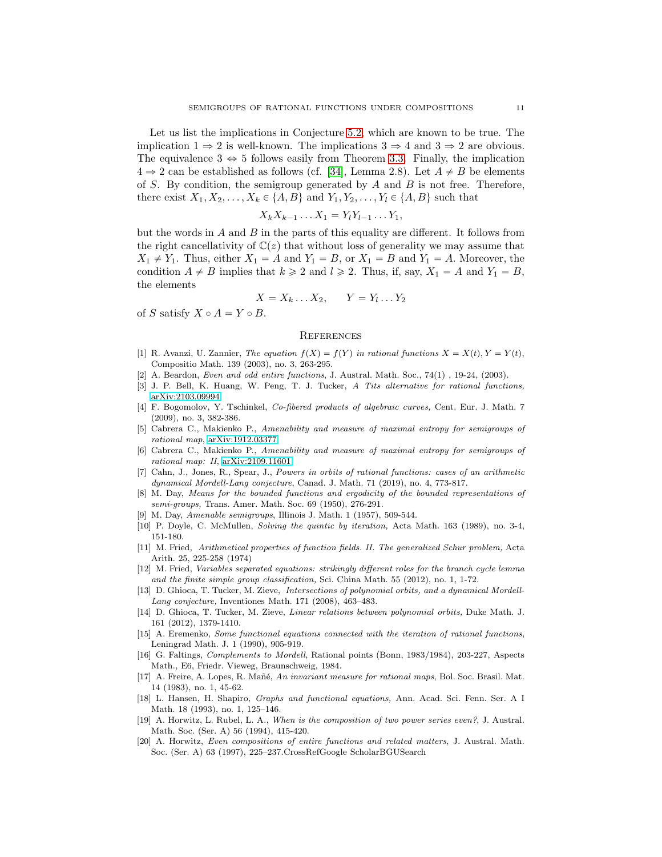Let us list the implications in Conjecture [5.2,](#page-9-1) which are known to be true. The implication  $1 \Rightarrow 2$  is well-known. The implications  $3 \Rightarrow 4$  and  $3 \Rightarrow 2$  are obvious. The equivalence  $3 \Leftrightarrow 5$  follows easily from Theorem [3.3.](#page-5-5) Finally, the implication  $4 \Rightarrow 2$  can be established as follows (cf. [\[34\]](#page-11-1), Lemma 2.8). Let  $A \neq B$  be elements of S. By condition, the semigroup generated by  $A$  and  $B$  is not free. Therefore, there exist  $X_1, X_2, \ldots, X_k \in \{A, B\}$  and  $Y_1, Y_2, \ldots, Y_l \in \{A, B\}$  such that

$$
X_k X_{k-1} \dots X_1 = Y_l Y_{l-1} \dots Y_1,
$$

but the words in  $A$  and  $B$  in the parts of this equality are different. It follows from the right cancellativity of  $\mathbb{C}(z)$  that without loss of generality we may assume that  $X_1 \neq Y_1$ . Thus, either  $X_1 = A$  and  $Y_1 = B$ , or  $X_1 = B$  and  $Y_1 = A$ . Moreover, the condition  $A \neq B$  implies that  $k \geq 2$  and  $l \geq 2$ . Thus, if, say,  $X_1 = A$  and  $Y_1 = B$ , the elements

$$
X = X_k \dots X_2, \qquad Y = Y_l \dots Y_2
$$

of S satisfy  $X \circ A = Y \circ B$ .

#### **REFERENCES**

- <span id="page-10-8"></span>[1] R. Avanzi, U. Zannier, The equation  $f(X) = f(Y)$  in rational functions  $X = X(t)$ ,  $Y = Y(t)$ , Compositio Math. 139 (2003), no. 3, 263-295.
- <span id="page-10-9"></span><span id="page-10-4"></span>[2] A. Beardon, Even and odd entire functions, J. Austral. Math. Soc., 74(1) , 19-24, (2003).
- <span id="page-10-18"></span>[3] J. P. Bell, K. Huang, W. Peng, T. J. Tucker, A Tits alternative for rational functions, [arXiv:2103.09994](http://arxiv.org/abs/2103.09994)
- [4] F. Bogomolov, Y. Tschinkel, Co-fibered products of algebraic curves, Cent. Eur. J. Math. 7 (2009), no. 3, 382-386.
- <span id="page-10-2"></span>[5] Cabrera C., Makienko P., Amenability and measure of maximal entropy for semigroups of rational map, [arXiv:1912.03377.](http://arxiv.org/abs/1912.03377)
- <span id="page-10-3"></span>Cabrera C., Makienko P., Amenability and measure of maximal entropy for semigroups of rational map: II, [arXiv:2109.11601.](http://arxiv.org/abs/2109.11601)
- <span id="page-10-14"></span>[7] Cahn, J., Jones, R., Spear, J., Powers in orbits of rational functions: cases of an arithmetic dynamical Mordell-Lang conjecture, Canad. J. Math. 71 (2019), no. 4, 773-817.
- <span id="page-10-0"></span>M. Day, Means for the bounded functions and ergodicity of the bounded representations of semi-groups, Trans. Amer. Math. Soc. 69 (1950), 276-291.
- <span id="page-10-6"></span><span id="page-10-1"></span>[9] M. Day, Amenable semigroups, Illinois J. Math. 1 (1957), 509-544.
- <span id="page-10-12"></span>[10] P. Doyle, C. McMullen, Solving the quintic by iteration, Acta Math. 163 (1989), no. 3-4, 151-180.
- [11] M. Fried, Arithmetical properties of function fields. II. The generalized Schur problem, Acta Arith. 25, 225-258 (1974)
- <span id="page-10-13"></span>[12] M. Fried, Variables separated equations: strikingly different roles for the branch cycle lemma and the finite simple group classification, Sci. China Math. 55 (2012), no. 1, 1-72.
- <span id="page-10-15"></span>[13] D. Ghioca, T. Tucker, M. Zieve, Intersections of polynomial orbits, and a dynamical Mordell-Lang conjecture, Inventiones Math. 171 (2008), 463–483.
- <span id="page-10-16"></span>[14] D. Ghioca, T. Tucker, M. Zieve, Linear relations between polynomial orbits, Duke Math. J. 161 (2012), 1379-1410.
- <span id="page-10-5"></span>[15] A. Eremenko, Some functional equations connected with the iteration of rational functions, Leningrad Math. J. 1 (1990), 905-919.
- <span id="page-10-17"></span>[16] G. Faltings, Complements to Mordell, Rational points (Bonn, 1983/1984), 203-227, Aspects Math., E6, Friedr. Vieweg, Braunschweig, 1984.
- <span id="page-10-7"></span>[17] A. Freire, A. Lopes, R. Mañé, An invariant measure for rational maps, Bol. Soc. Brasil. Mat. 14 (1983), no. 1, 45-62.
- <span id="page-10-19"></span>[18] L. Hansen, H. Shapiro, Graphs and functional equations, Ann. Acad. Sci. Fenn. Ser. A I Math. 18 (1993), no. 1, 125–146.
- <span id="page-10-10"></span>[19] A. Horwitz, L. Rubel, L. A., When is the composition of two power series even?, J. Austral. Math. Soc. (Ser. A) 56 (1994), 415-420.
- <span id="page-10-11"></span>[20] A. Horwitz, Even compositions of entire functions and related matters, J. Austral. Math. Soc. (Ser. A) 63 (1997), 225–237.CrossRefGoogle ScholarBGUSearch